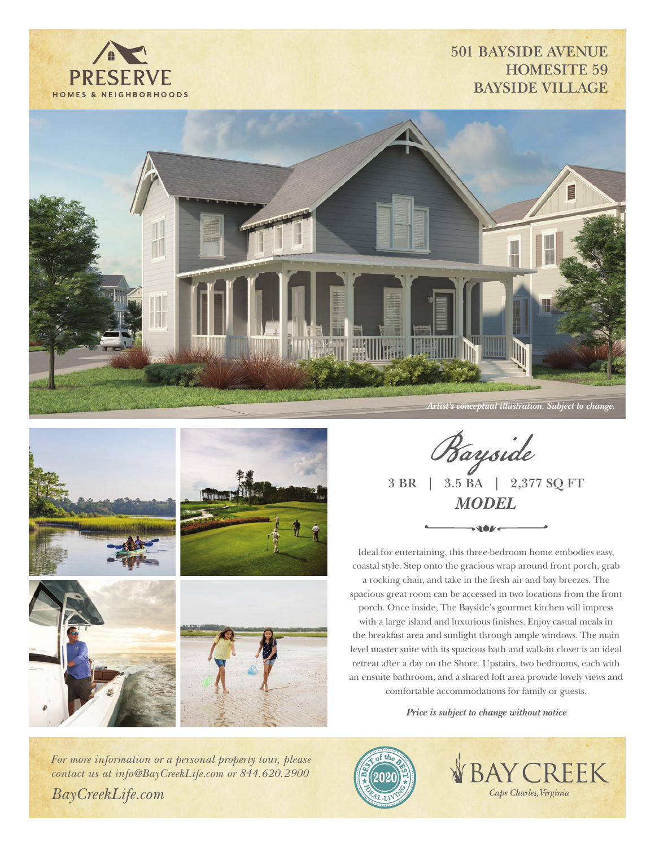

## **501 BAYSIDE AVENUE HOMESITE 59 BAYSIDE VILLAGE**







**Bayside**<br>3 BR | 3.5 BA | 2,377 SQ FT *MODEL*

Ideal for entertaining, this three-bedroom home embodies easy, coastal style. Step onto the gracious wrap around front porch, grab a rocking chair, and take in the fresh air and bay breezes. The spacious great room can be accessed in two locations from the front porch. Once inside, The Bayside's gourmet kitchen will impress with a large island and luxurious finishes. Enjoy casual meals in the breakfast area and sunlight through ample windows. The main level master suite with its spacious bath and walk-in closet is an ideal retreat after a day on the Shore. Upstairs, two bedrooms, each with an ensuite bathroom, and a shared loft area provide lovely views and comfortable accommodations for family or guests.

*Price is subject to change without notice*

*For more information or a personal property tour, please contact us at info@BayCreekLife.com or 844.620.2900 BayCreekLife.com*



**BAY CREEK** Cape Charles, Virginia